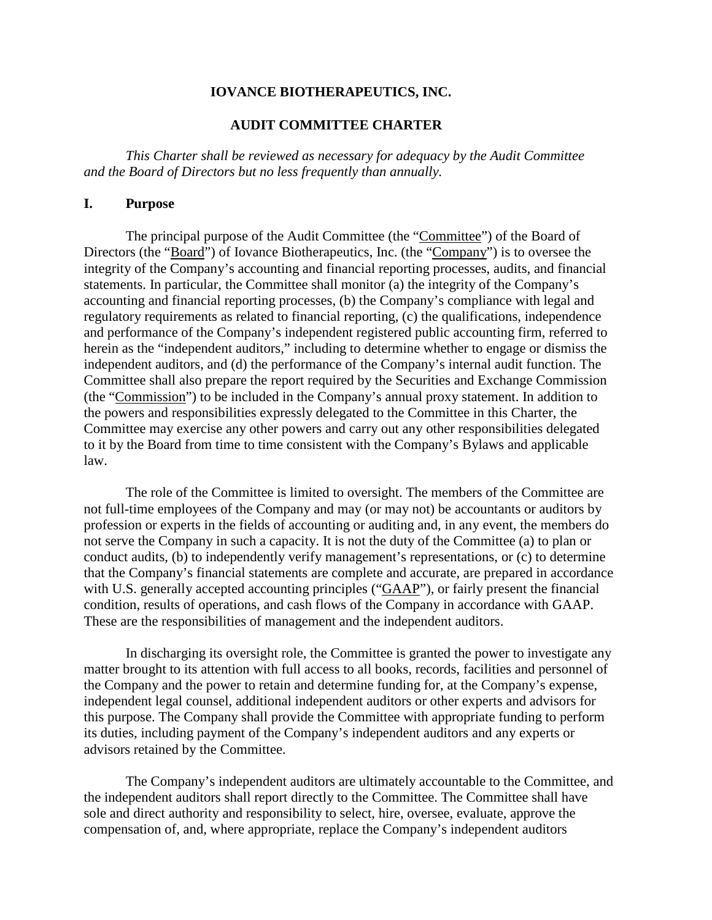### **IOVANCE BIOTHERAPEUTICS, INC.**

## **AUDIT COMMITTEE CHARTER**

*This Charter shall be reviewed as necessary for adequacy by the Audit Committee and the Board of Directors but no less frequently than annually.*

#### **I. Purpose**

The principal purpose of the Audit Committee (the "Committee") of the Board of Directors (the "Board") of Iovance Biotherapeutics, Inc. (the "Company") is to oversee the integrity of the Company's accounting and financial reporting processes, audits, and financial statements. In particular, the Committee shall monitor (a) the integrity of the Company's accounting and financial reporting processes, (b) the Company's compliance with legal and regulatory requirements as related to financial reporting, (c) the qualifications, independence and performance of the Company's independent registered public accounting firm, referred to herein as the "independent auditors," including to determine whether to engage or dismiss the independent auditors, and (d) the performance of the Company's internal audit function. The Committee shall also prepare the report required by the Securities and Exchange Commission (the "Commission") to be included in the Company's annual proxy statement. In addition to the powers and responsibilities expressly delegated to the Committee in this Charter, the Committee may exercise any other powers and carry out any other responsibilities delegated to it by the Board from time to time consistent with the Company's Bylaws and applicable law.

The role of the Committee is limited to oversight. The members of the Committee are not full-time employees of the Company and may (or may not) be accountants or auditors by profession or experts in the fields of accounting or auditing and, in any event, the members do not serve the Company in such a capacity. It is not the duty of the Committee (a) to plan or conduct audits, (b) to independently verify management's representations, or (c) to determine that the Company's financial statements are complete and accurate, are prepared in accordance with U.S. generally accepted accounting principles ("GAAP"), or fairly present the financial condition, results of operations, and cash flows of the Company in accordance with GAAP. These are the responsibilities of management and the independent auditors.

In discharging its oversight role, the Committee is granted the power to investigate any matter brought to its attention with full access to all books, records, facilities and personnel of the Company and the power to retain and determine funding for, at the Company's expense, independent legal counsel, additional independent auditors or other experts and advisors for this purpose. The Company shall provide the Committee with appropriate funding to perform its duties, including payment of the Company's independent auditors and any experts or advisors retained by the Committee.

The Company's independent auditors are ultimately accountable to the Committee, and the independent auditors shall report directly to the Committee. The Committee shall have sole and direct authority and responsibility to select, hire, oversee, evaluate, approve the compensation of, and, where appropriate, replace the Company's independent auditors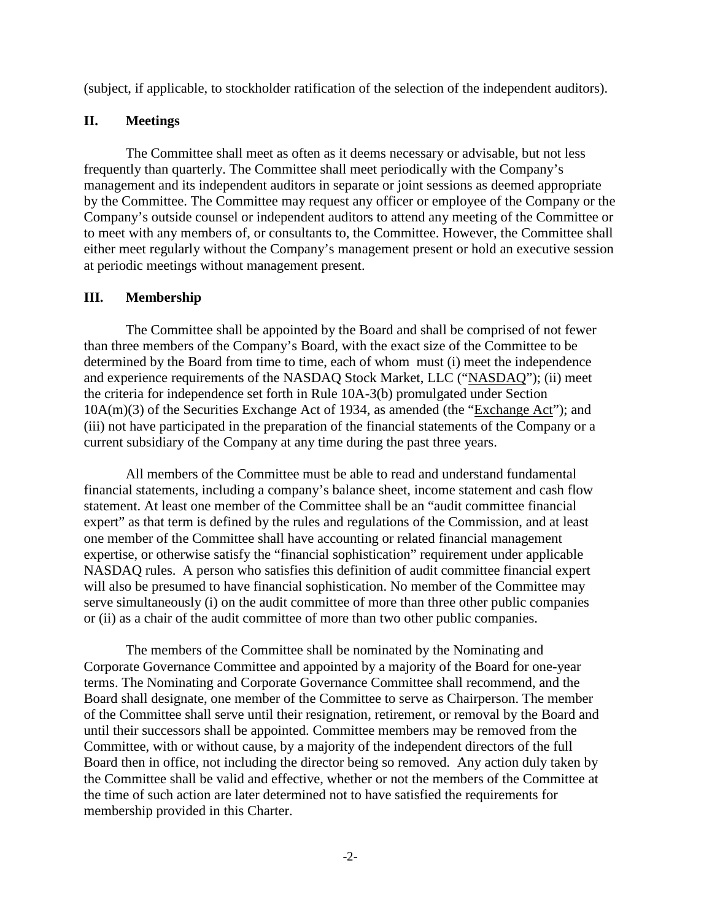(subject, if applicable, to stockholder ratification of the selection of the independent auditors).

## **II. Meetings**

The Committee shall meet as often as it deems necessary or advisable, but not less frequently than quarterly. The Committee shall meet periodically with the Company's management and its independent auditors in separate or joint sessions as deemed appropriate by the Committee. The Committee may request any officer or employee of the Company or the Company's outside counsel or independent auditors to attend any meeting of the Committee or to meet with any members of, or consultants to, the Committee. However, the Committee shall either meet regularly without the Company's management present or hold an executive session at periodic meetings without management present.

# **III. Membership**

The Committee shall be appointed by the Board and shall be comprised of not fewer than three members of the Company's Board, with the exact size of the Committee to be determined by the Board from time to time, each of whom must (i) meet the independence and experience requirements of the NASDAQ Stock Market, LLC ("NASDAQ"); (ii) meet the criteria for independence set forth in Rule 10A-3(b) promulgated under Section 10A(m)(3) of the Securities Exchange Act of 1934, as amended (the "Exchange Act"); and (iii) not have participated in the preparation of the financial statements of the Company or a current subsidiary of the Company at any time during the past three years.

All members of the Committee must be able to read and understand fundamental financial statements, including a company's balance sheet, income statement and cash flow statement. At least one member of the Committee shall be an "audit committee financial expert" as that term is defined by the rules and regulations of the Commission, and at least one member of the Committee shall have accounting or related financial management expertise, or otherwise satisfy the "financial sophistication" requirement under applicable NASDAQ rules. A person who satisfies this definition of audit committee financial expert will also be presumed to have financial sophistication. No member of the Committee may serve simultaneously (i) on the audit committee of more than three other public companies or (ii) as a chair of the audit committee of more than two other public companies.

The members of the Committee shall be nominated by the Nominating and Corporate Governance Committee and appointed by a majority of the Board for one-year terms. The Nominating and Corporate Governance Committee shall recommend, and the Board shall designate, one member of the Committee to serve as Chairperson. The member of the Committee shall serve until their resignation, retirement, or removal by the Board and until their successors shall be appointed. Committee members may be removed from the Committee, with or without cause, by a majority of the independent directors of the full Board then in office, not including the director being so removed. Any action duly taken by the Committee shall be valid and effective, whether or not the members of the Committee at the time of such action are later determined not to have satisfied the requirements for membership provided in this Charter.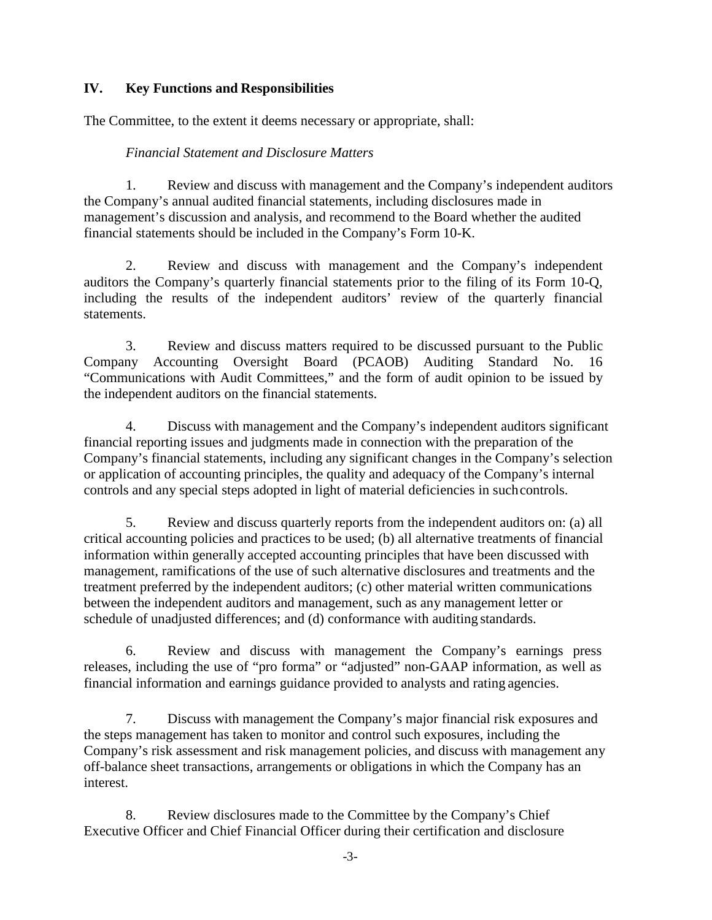# **IV. Key Functions and Responsibilities**

The Committee, to the extent it deems necessary or appropriate, shall:

## *Financial Statement and Disclosure Matters*

1. Review and discuss with management and the Company's independent auditors the Company's annual audited financial statements, including disclosures made in management's discussion and analysis, and recommend to the Board whether the audited financial statements should be included in the Company's Form 10-K.

2. Review and discuss with management and the Company's independent auditors the Company's quarterly financial statements prior to the filing of its Form 10-Q, including the results of the independent auditors' review of the quarterly financial statements.

3. Review and discuss matters required to be discussed pursuant to the Public Company Accounting Oversight Board (PCAOB) Auditing Standard No. 16 "Communications with Audit Committees," and the form of audit opinion to be issued by the independent auditors on the financial statements.

4. Discuss with management and the Company's independent auditors significant financial reporting issues and judgments made in connection with the preparation of the Company's financial statements, including any significant changes in the Company's selection or application of accounting principles, the quality and adequacy of the Company's internal controls and any special steps adopted in light of material deficiencies in suchcontrols.

5. Review and discuss quarterly reports from the independent auditors on: (a) all critical accounting policies and practices to be used; (b) all alternative treatments of financial information within generally accepted accounting principles that have been discussed with management, ramifications of the use of such alternative disclosures and treatments and the treatment preferred by the independent auditors; (c) other material written communications between the independent auditors and management, such as any management letter or schedule of unadjusted differences; and (d) conformance with auditing standards.

6. Review and discuss with management the Company's earnings press releases, including the use of "pro forma" or "adjusted" non-GAAP information, as well as financial information and earnings guidance provided to analysts and rating agencies.

7. Discuss with management the Company's major financial risk exposures and the steps management has taken to monitor and control such exposures, including the Company's risk assessment and risk management policies, and discuss with management any off-balance sheet transactions, arrangements or obligations in which the Company has an interest.

8. Review disclosures made to the Committee by the Company's Chief Executive Officer and Chief Financial Officer during their certification and disclosure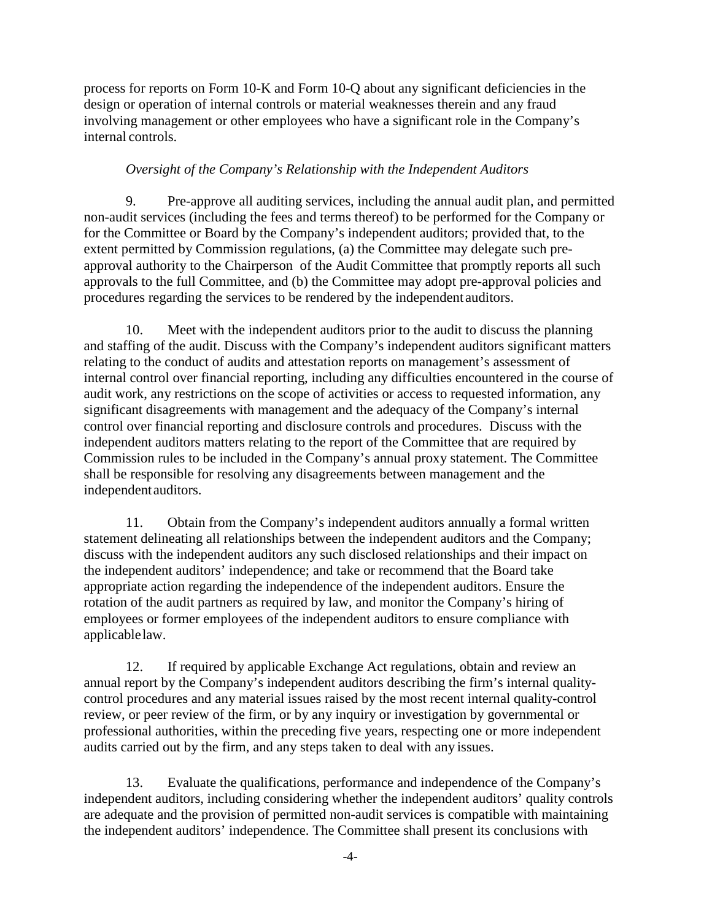process for reports on Form 10-K and Form 10-Q about any significant deficiencies in the design or operation of internal controls or material weaknesses therein and any fraud involving management or other employees who have a significant role in the Company's internal controls.

## *Oversight of the Company's Relationship with the Independent Auditors*

9. Pre-approve all auditing services, including the annual audit plan, and permitted non-audit services (including the fees and terms thereof) to be performed for the Company or for the Committee or Board by the Company's independent auditors; provided that, to the extent permitted by Commission regulations, (a) the Committee may delegate such preapproval authority to the Chairperson of the Audit Committee that promptly reports all such approvals to the full Committee, and (b) the Committee may adopt pre-approval policies and procedures regarding the services to be rendered by the independent auditors.

10. Meet with the independent auditors prior to the audit to discuss the planning and staffing of the audit. Discuss with the Company's independent auditors significant matters relating to the conduct of audits and attestation reports on management's assessment of internal control over financial reporting, including any difficulties encountered in the course of audit work, any restrictions on the scope of activities or access to requested information, any significant disagreements with management and the adequacy of the Company's internal control over financial reporting and disclosure controls and procedures. Discuss with the independent auditors matters relating to the report of the Committee that are required by Commission rules to be included in the Company's annual proxy statement. The Committee shall be responsible for resolving any disagreements between management and the independentauditors.

11. Obtain from the Company's independent auditors annually a formal written statement delineating all relationships between the independent auditors and the Company; discuss with the independent auditors any such disclosed relationships and their impact on the independent auditors' independence; and take or recommend that the Board take appropriate action regarding the independence of the independent auditors. Ensure the rotation of the audit partners as required by law, and monitor the Company's hiring of employees or former employees of the independent auditors to ensure compliance with applicablelaw.

12. If required by applicable Exchange Act regulations, obtain and review an annual report by the Company's independent auditors describing the firm's internal qualitycontrol procedures and any material issues raised by the most recent internal quality-control review, or peer review of the firm, or by any inquiry or investigation by governmental or professional authorities, within the preceding five years, respecting one or more independent audits carried out by the firm, and any steps taken to deal with any issues.

13. Evaluate the qualifications, performance and independence of the Company's independent auditors, including considering whether the independent auditors' quality controls are adequate and the provision of permitted non-audit services is compatible with maintaining the independent auditors' independence. The Committee shall present its conclusions with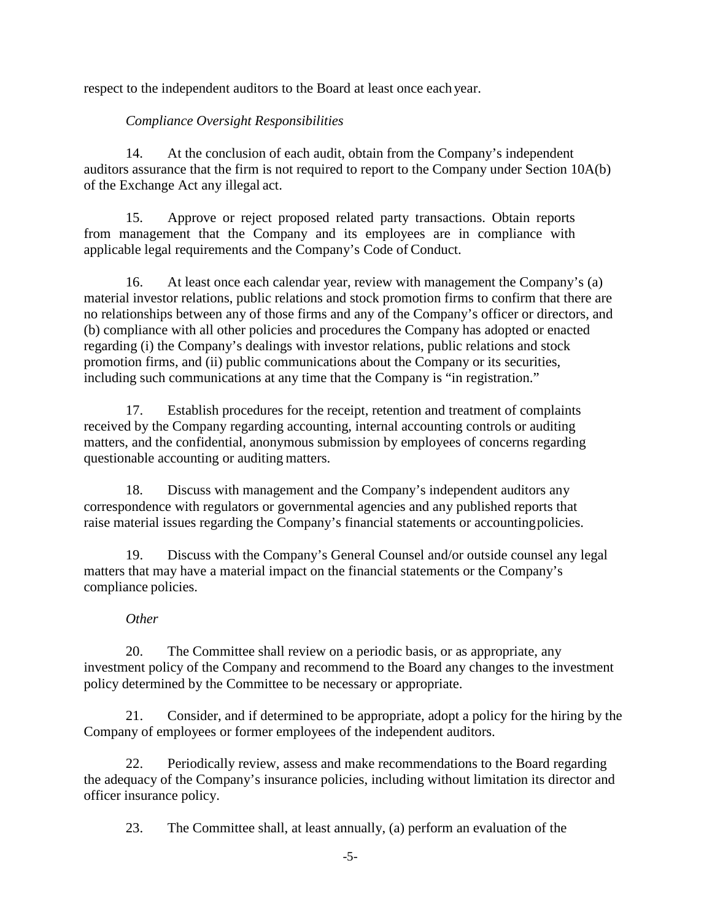respect to the independent auditors to the Board at least once each year.

# *Compliance Oversight Responsibilities*

14. At the conclusion of each audit, obtain from the Company's independent auditors assurance that the firm is not required to report to the Company under Section 10A(b) of the Exchange Act any illegal act.

15. Approve or reject proposed related party transactions. Obtain reports from management that the Company and its employees are in compliance with applicable legal requirements and the Company's Code of Conduct.

16. At least once each calendar year, review with management the Company's (a) material investor relations, public relations and stock promotion firms to confirm that there are no relationships between any of those firms and any of the Company's officer or directors, and (b) compliance with all other policies and procedures the Company has adopted or enacted regarding (i) the Company's dealings with investor relations, public relations and stock promotion firms, and (ii) public communications about the Company or its securities, including such communications at any time that the Company is "in registration."

17. Establish procedures for the receipt, retention and treatment of complaints received by the Company regarding accounting, internal accounting controls or auditing matters, and the confidential, anonymous submission by employees of concerns regarding questionable accounting or auditing matters.

18. Discuss with management and the Company's independent auditors any correspondence with regulators or governmental agencies and any published reports that raise material issues regarding the Company's financial statements or accountingpolicies.

19. Discuss with the Company's General Counsel and/or outside counsel any legal matters that may have a material impact on the financial statements or the Company's compliance policies.

## *Other*

20. The Committee shall review on a periodic basis, or as appropriate, any investment policy of the Company and recommend to the Board any changes to the investment policy determined by the Committee to be necessary or appropriate.

21. Consider, and if determined to be appropriate, adopt a policy for the hiring by the Company of employees or former employees of the independent auditors.

22. Periodically review, assess and make recommendations to the Board regarding the adequacy of the Company's insurance policies, including without limitation its director and officer insurance policy.

23. The Committee shall, at least annually, (a) perform an evaluation of the